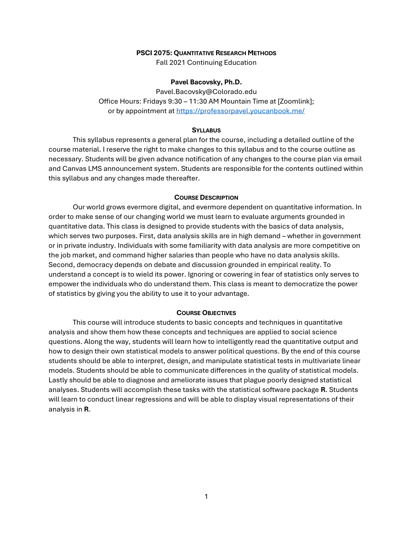### **PSCI 2075: QUANTITATIVE RESEARCH METHODS**

Fall 2021 Continuing Education

## **Pavel Bacovsky, Ph.D.**

Pavel.Bacovsky@Colorado.edu Office Hours: Fridays 9:30 – 11:30 AM Mountain Time at [Zoomlink]; or by appointment a[t https://professorpavel.youcanbook.me/](https://professorpavel.youcanbook.me/)

## **SYLLABUS**

This syllabus represents a general plan for the course, including a detailed outline of the course material. I reserve the right to make changes to this syllabus and to the course outline as necessary. Students will be given advance notification of any changes to the course plan via email and Canvas LMS announcement system. Students are responsible for the contents outlined within this syllabus and any changes made thereafter.

#### **COURSE DESCRIPTION**

Our world grows evermore digital, and evermore dependent on quantitative information. In order to make sense of our changing world we must learn to evaluate arguments grounded in quantitative data. This class is designed to provide students with the basics of data analysis, which serves two purposes. First, data analysis skills are in high demand – whether in government or in private industry. Individuals with some familiarity with data analysis are more competitive on the job market, and command higher salaries than people who have no data analysis skills. Second, democracy depends on debate and discussion grounded in empirical reality. To understand a concept is to wield its power. Ignoring or cowering in fear of statistics only serves to empower the individuals who do understand them. This class is meant to democratize the power of statistics by giving you the ability to use it to your advantage.

### **COURSE OBJECTIVES**

This course will introduce students to basic concepts and techniques in quantitative analysis and show them how these concepts and techniques are applied to social science questions. Along the way, students will learn how to intelligently read the quantitative output and how to design their own statistical models to answer political questions. By the end of this course students should be able to interpret, design, and manipulate statistical tests in multivariate linear models. Students should be able to communicate differences in the quality of statistical models. Lastly should be able to diagnose and ameliorate issues that plague poorly designed statistical analyses. Students will accomplish these tasks with the statistical software package **R**. Students will learn to conduct linear regressions and will be able to display visual representations of their analysis in **R**.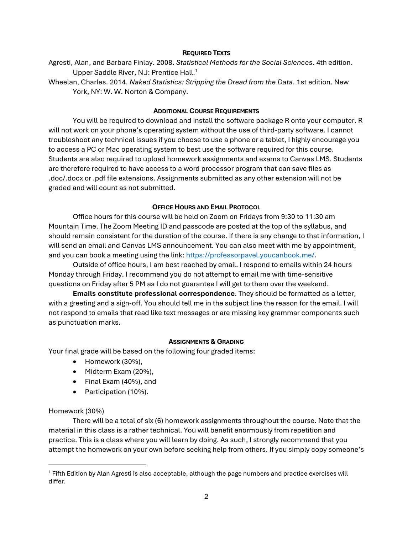# **REQUIRED TEXTS**

- Agresti, Alan, and Barbara Finlay. 2008. *Statistical Methods for the Social Sciences*. 4th edition. Upper Saddle River, N.J: Prentice Hall.<sup>1</sup>
- Wheelan, Charles. 2014. *Naked Statistics: Stripping the Dread from the Data*. 1st edition. New York, NY: W. W. Norton & Company.

# **ADDITIONAL COURSE REQUIREMENTS**

You will be required to download and install the software package R onto your computer. R will not work on your phone's operating system without the use of third-party software. I cannot troubleshoot any technical issues if you choose to use a phone or a tablet, I highly encourage you to access a PC or Mac operating system to best use the software required for this course. Students are also required to upload homework assignments and exams to Canvas LMS. Students are therefore required to have access to a word processor program that can save files as .doc/.docx or .pdf file extensions. Assignments submitted as any other extension will not be graded and will count as not submitted.

# **OFFICE HOURS AND EMAIL PROTOCOL**

Office hours for this course will be held on Zoom on Fridays from 9:30 to 11:30 am Mountain Time. The Zoom Meeting ID and passcode are posted at the top of the syllabus, and should remain consistent for the duration of the course. If there is any change to that information, I will send an email and Canvas LMS announcement. You can also meet with me by appointment, and you can book a meeting using the link: [https://professorpavel.youcanbook.me/.](https://professorpavel.youcanbook.me/)

Outside of office hours, I am best reached by email. I respond to emails within 24 hours Monday through Friday. I recommend you do not attempt to email me with time-sensitive questions on Friday after 5 PM as I do not guarantee I will get to them over the weekend.

**Emails constitute professional correspondence**. They should be formatted as a letter, with a greeting and a sign-off. You should tell me in the subject line the reason for the email. I will not respond to emails that read like text messages or are missing key grammar components such as punctuation marks.

# **ASSIGNMENTS & GRADING**

Your final grade will be based on the following four graded items:

- Homework (30%),
- Midterm Exam (20%),
- Final Exam (40%), and
- Participation (10%).

# Homework (30%)

There will be a total of six (6) homework assignments throughout the course. Note that the material in this class is a rather technical. You will benefit enormously from repetition and practice. This is a class where you will learn by doing. As such, I strongly recommend that you attempt the homework on your own before seeking help from others. If you simply copy someone's

<sup>1</sup> Fifth Edition by Alan Agresti is also acceptable, although the page numbers and practice exercises will differ.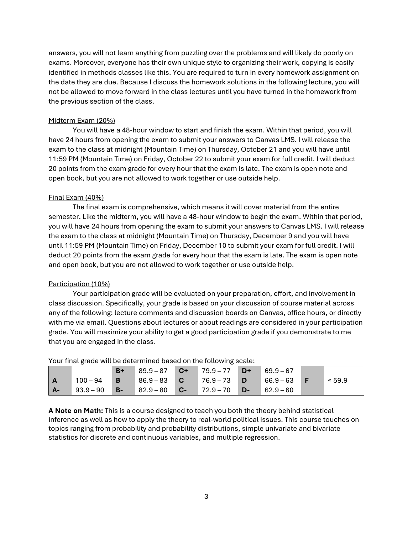answers, you will not learn anything from puzzling over the problems and will likely do poorly on exams. Moreover, everyone has their own unique style to organizing their work, copying is easily identified in methods classes like this. You are required to turn in every homework assignment on the date they are due. Because I discuss the homework solutions in the following lecture, you will not be allowed to move forward in the class lectures until you have turned in the homework from the previous section of the class.

# Midterm Exam (20%)

You will have a 48-hour window to start and finish the exam. Within that period, you will have 24 hours from opening the exam to submit your answers to Canvas LMS. I will release the exam to the class at midnight (Mountain Time) on Thursday, October 21 and you will have until 11:59 PM (Mountain Time) on Friday, October 22 to submit your exam for full credit. I will deduct 20 points from the exam grade for every hour that the exam is late. The exam is open note and open book, but you are not allowed to work together or use outside help.

# Final Exam (40%)

The final exam is comprehensive, which means it will cover material from the entire semester. Like the midterm, you will have a 48-hour window to begin the exam. Within that period, you will have 24 hours from opening the exam to submit your answers to Canvas LMS. I will release the exam to the class at midnight (Mountain Time) on Thursday, December 9 and you will have until 11:59 PM (Mountain Time) on Friday, December 10 to submit your exam for full credit. I will deduct 20 points from the exam grade for every hour that the exam is late. The exam is open note and open book, but you are not allowed to work together or use outside help.

# Participation (10%)

Your participation grade will be evaluated on your preparation, effort, and involvement in class discussion. Specifically, your grade is based on your discussion of course material across any of the following: lecture comments and discussion boards on Canvas, office hours, or directly with me via email. Questions about lectures or about readings are considered in your participation grade. You will maximize your ability to get a good participation grade if you demonstrate to me that you are engaged in the class.

|    |             | $B+$      | 89.9-87        | $C+$ | $\sqrt{79.9-77}$ | $D+$ | $69.9 - 67$ |        |
|----|-------------|-----------|----------------|------|------------------|------|-------------|--------|
| A  | $100 - 94$  | B         | $86.9 - 83$ C  |      | $76.9 - 73$ D    |      | $66.9 - 63$ | < 59.9 |
| A- | $93.9 - 90$ | <b>B-</b> | $82.9 - 80$ C- |      | $72.9 - 70$ D-   |      | $62.9 - 60$ |        |

Your final grade will be determined based on the following scale:

**A Note on Math:** This is a course designed to teach you both the theory behind statistical inference as well as how to apply the theory to real-world political issues. This course touches on topics ranging from probability and probability distributions, simple univariate and bivariate statistics for discrete and continuous variables, and multiple regression.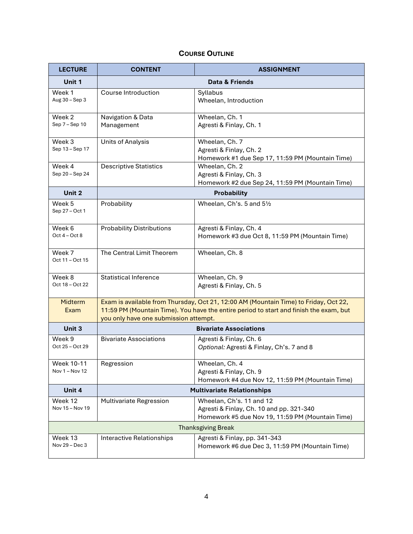# **COURSE OUTLINE**

| <b>LECTURE</b>                                         | <b>CONTENT</b>                                                                                                                                                                                                          | <b>ASSIGNMENT</b>                                                                                                        |  |  |  |  |
|--------------------------------------------------------|-------------------------------------------------------------------------------------------------------------------------------------------------------------------------------------------------------------------------|--------------------------------------------------------------------------------------------------------------------------|--|--|--|--|
| Unit 1                                                 |                                                                                                                                                                                                                         | <b>Data &amp; Friends</b>                                                                                                |  |  |  |  |
| Week 1<br>Aug 30 - Sep 3                               | Course Introduction                                                                                                                                                                                                     | Syllabus<br>Wheelan, Introduction                                                                                        |  |  |  |  |
| Week 2<br>Sep 7 - Sep 10                               | Navigation & Data<br>Management                                                                                                                                                                                         | Wheelan, Ch. 1<br>Agresti & Finlay, Ch. 1                                                                                |  |  |  |  |
| Week 3<br>Sep 13 - Sep 17                              | <b>Units of Analysis</b>                                                                                                                                                                                                | Wheelan, Ch. 7<br>Agresti & Finlay, Ch. 2<br>Homework #1 due Sep 17, 11:59 PM (Mountain Time)                            |  |  |  |  |
| Week 4<br>Sep 20 - Sep 24                              | <b>Descriptive Statistics</b>                                                                                                                                                                                           | Wheelan, Ch. 2<br>Agresti & Finlay, Ch. 3<br>Homework #2 due Sep 24, 11:59 PM (Mountain Time)                            |  |  |  |  |
| Unit 2                                                 | <b>Probability</b>                                                                                                                                                                                                      |                                                                                                                          |  |  |  |  |
| Week 5<br>Sep 27 - Oct 1                               | Probability                                                                                                                                                                                                             | Wheelan, Ch's. 5 and 51/2                                                                                                |  |  |  |  |
| Week 6<br>Oct $4 - Oct 8$                              | <b>Probability Distributions</b>                                                                                                                                                                                        | Agresti & Finlay, Ch. 4<br>Homework #3 due Oct 8, 11:59 PM (Mountain Time)                                               |  |  |  |  |
| Week 7<br>Oct 11 - Oct 15                              | The Central Limit Theorem                                                                                                                                                                                               | Wheelan, Ch. 8                                                                                                           |  |  |  |  |
| Week 8<br>Oct 18 - Oct 22                              | <b>Statistical Inference</b>                                                                                                                                                                                            | Wheelan, Ch. 9<br>Agresti & Finlay, Ch. 5                                                                                |  |  |  |  |
| Midterm<br>Exam                                        | Exam is available from Thursday, Oct 21, 12:00 AM (Mountain Time) to Friday, Oct 22,<br>11:59 PM (Mountain Time). You have the entire period to start and finish the exam, but<br>you only have one submission attempt. |                                                                                                                          |  |  |  |  |
| Unit 3                                                 |                                                                                                                                                                                                                         | <b>Bivariate Associations</b>                                                                                            |  |  |  |  |
| Week 9<br>Oct 25 - Oct 29                              | <b>Bivariate Associations</b>                                                                                                                                                                                           | Agresti & Finlay, Ch. 6<br>Optional: Agresti & Finlay, Ch's. 7 and 8                                                     |  |  |  |  |
| Week 10-11<br>Nov 1 - Nov 12                           | Regression                                                                                                                                                                                                              | Wheelan, Ch. 4<br>Agresti & Finlay, Ch. 9<br>Homework #4 due Nov 12, 11:59 PM (Mountain Time)                            |  |  |  |  |
| Unit 4                                                 |                                                                                                                                                                                                                         | <b>Multivariate Relationships</b>                                                                                        |  |  |  |  |
| Week 12<br>Nov 15 - Nov 19                             | Multivariate Regression                                                                                                                                                                                                 | Wheelan, Ch's. 11 and 12<br>Agresti & Finlay, Ch. 10 and pp. 321-340<br>Homework #5 due Nov 19, 11:59 PM (Mountain Time) |  |  |  |  |
| <b>Thanksgiving Break</b>                              |                                                                                                                                                                                                                         |                                                                                                                          |  |  |  |  |
| Week 13<br>Interactive Relationships<br>Nov 29 - Dec 3 |                                                                                                                                                                                                                         | Agresti & Finlay, pp. 341-343<br>Homework #6 due Dec 3, 11:59 PM (Mountain Time)                                         |  |  |  |  |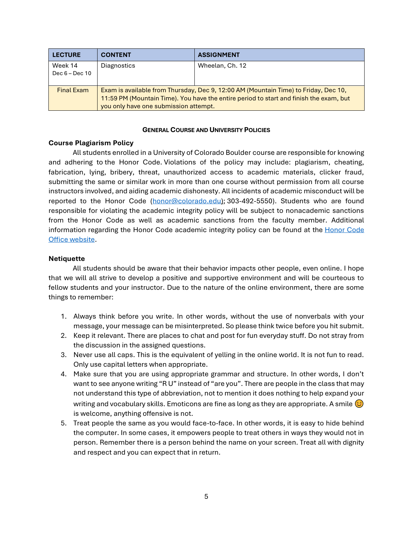| <b>LECTURE</b>              | <b>CONTENT</b>                                                                                                                                                                                                         | <b>ASSIGNMENT</b> |  |  |
|-----------------------------|------------------------------------------------------------------------------------------------------------------------------------------------------------------------------------------------------------------------|-------------------|--|--|
| Week 14<br>Dec $6 - Dec 10$ | Diagnostics                                                                                                                                                                                                            | Wheelan, Ch. 12   |  |  |
| <b>Final Exam</b>           | Exam is available from Thursday, Dec 9, 12:00 AM (Mountain Time) to Friday, Dec 10,<br>11:59 PM (Mountain Time). You have the entire period to start and finish the exam, but<br>you only have one submission attempt. |                   |  |  |

# **GENERAL COURSE AND UNIVERSITY POLICIES**

# **Course Plagiarism Policy**

All students enrolled in a University of Colorado Boulder course are responsible for knowing and adhering to the Honor Code. Violations of the policy may include: plagiarism, cheating, fabrication, lying, bribery, threat, unauthorized access to academic materials, clicker fraud, submitting the same or similar work in more than one course without permission from all course instructors involved, and aiding academic dishonesty. All incidents of academic misconduct will be reported to the Honor Code [\(honor@colorado.edu\)](mailto:honor@colorado.edu); 303-492-5550). Students who are found responsible for violating the academic integrity policy will be subject to nonacademic sanctions from the Honor Code as well as academic sanctions from the faculty member. Additional information regarding the [Honor Code](https://www.colorado.edu/osccr/honor-code) academic integrity policy can be found at the Honor Code [Office website.](https://www.colorado.edu/osccr/honor-code)

# **Netiquette**

All students should be aware that their behavior impacts other people, even online. I hope that we will all strive to develop a positive and supportive environment and will be courteous to fellow students and your instructor. Due to the nature of the online environment, there are some things to remember:

- 1. Always think before you write. In other words, without the use of nonverbals with your message, your message can be misinterpreted. So please think twice before you hit submit.
- 2. Keep it relevant. There are places to chat and post for fun everyday stuff. Do not stray from the discussion in the assigned questions.
- 3. Never use all caps. This is the equivalent of yelling in the online world. It is not fun to read. Only use capital letters when appropriate.
- 4. Make sure that you are using appropriate grammar and structure. In other words, I don't want to see anyone writing "R U" instead of "are you". There are people in the class that may not understand this type of abbreviation, not to mention it does nothing to help expand your writing and vocabulary skills. Emoticons are fine as long as they are appropriate. A smile  $\bigodot$ is welcome, anything offensive is not.
- 5. Treat people the same as you would face-to-face. In other words, it is easy to hide behind the computer. In some cases, it empowers people to treat others in ways they would not in person. Remember there is a person behind the name on your screen. Treat all with dignity and respect and you can expect that in return.